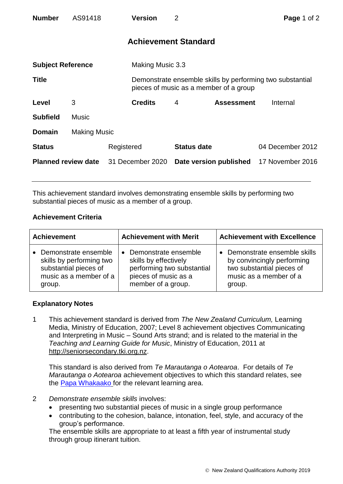| <b>Number</b>              | AS91418             |                  | <b>Version</b>   | $\overline{2}$                          |                                        | Page 1 of 2                                               |  |
|----------------------------|---------------------|------------------|------------------|-----------------------------------------|----------------------------------------|-----------------------------------------------------------|--|
|                            |                     |                  |                  | <b>Achievement Standard</b>             |                                        |                                                           |  |
| <b>Subject Reference</b>   |                     |                  | Making Music 3.3 |                                         |                                        |                                                           |  |
| <b>Title</b>               |                     |                  |                  |                                         | pieces of music as a member of a group | Demonstrate ensemble skills by performing two substantial |  |
| Level                      | 3                   |                  | <b>Credits</b>   | 4                                       | <b>Assessment</b>                      | Internal                                                  |  |
| <b>Subfield</b>            | <b>Music</b>        |                  |                  |                                         |                                        |                                                           |  |
| <b>Domain</b>              | <b>Making Music</b> |                  |                  |                                         |                                        |                                                           |  |
| <b>Status</b>              |                     | Registered       |                  | <b>Status date</b>                      |                                        | 04 December 2012                                          |  |
| <b>Planned review date</b> |                     | 31 December 2020 |                  | Date version published 17 November 2016 |                                        |                                                           |  |

This achievement standard involves demonstrating ensemble skills by performing two substantial pieces of music as a member of a group.

## **Achievement Criteria**

| <b>Achievement</b>                                                                                              | <b>Achievement with Merit</b>                                                                                                          | <b>Achievement with Excellence</b>                                                                                         |  |
|-----------------------------------------------------------------------------------------------------------------|----------------------------------------------------------------------------------------------------------------------------------------|----------------------------------------------------------------------------------------------------------------------------|--|
| • Demonstrate ensemble<br>skills by performing two<br>substantial pieces of<br>music as a member of a<br>group. | Demonstrate ensemble<br>$\bullet$<br>skills by effectively<br>performing two substantial<br>pieces of music as a<br>member of a group. | Demonstrate ensemble skills<br>by convincingly performing<br>two substantial pieces of<br>music as a member of a<br>group. |  |

## **Explanatory Notes**

1 This achievement standard is derived from *The New Zealand Curriculum,* Learning Media, Ministry of Education, 2007; Level 8 achievement objectives Communicating and Interpreting in Music – Sound Arts strand; and is related to the material in the *Teaching and Learning Guide for Music*, Ministry of Education, 2011 at [http://seniorsecondary.tki.org.nz.](http://seniorsecondary.tki.org.nz/)

This standard is also derived from *Te Marautanga o Aotearoa*. For details of *Te Marautanga o Aotearoa* achievement objectives to which this standard relates, see the [Papa Whakaako](http://tmoa.tki.org.nz/Te-Marautanga-o-Aotearoa/Taumata-Matauranga-a-Motu-Ka-Taea) for the relevant learning area.

- 2 *Demonstrate ensemble skills* involves:
	- presenting two substantial pieces of music in a single group performance
	- contributing to the cohesion, balance, intonation, feel, style, and accuracy of the group's performance.

The ensemble skills are appropriate to at least a fifth year of instrumental study through group itinerant tuition.